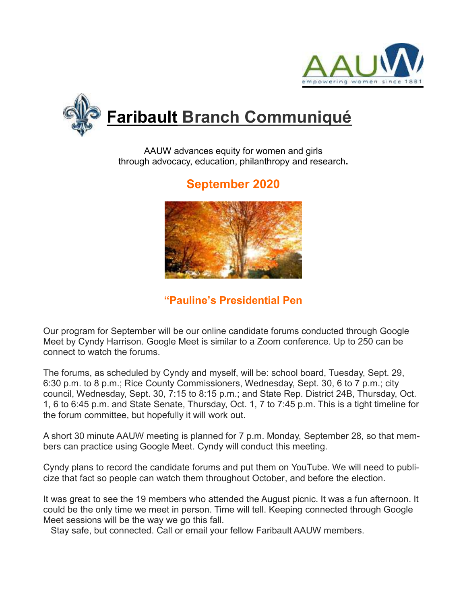



AAUW advances equity for women and girls through advocacy, education, philanthropy and research**.**

# **September 2020**



**"Pauline's Presidential Pen** 

Our program for September will be our online candidate forums conducted through Google Meet by Cyndy Harrison. Google Meet is similar to a Zoom conference. Up to 250 can be connect to watch the forums.

The forums, as scheduled by Cyndy and myself, will be: school board, Tuesday, Sept. 29, 6:30 p.m. to 8 p.m.; Rice County Commissioners, Wednesday, Sept. 30, 6 to 7 p.m.; city council, Wednesday, Sept. 30, 7:15 to 8:15 p.m.; and State Rep. District 24B, Thursday, Oct. 1, 6 to 6:45 p.m. and State Senate, Thursday, Oct. 1, 7 to 7:45 p.m. This is a tight timeline for the forum committee, but hopefully it will work out.

A short 30 minute AAUW meeting is planned for 7 p.m. Monday, September 28, so that members can practice using Google Meet. Cyndy will conduct this meeting.

Cyndy plans to record the candidate forums and put them on YouTube. We will need to publicize that fact so people can watch them throughout October, and before the election.

It was great to see the 19 members who attended the August picnic. It was a fun afternoon. It could be the only time we meet in person. Time will tell. Keeping connected through Google Meet sessions will be the way we go this fall.

Stay safe, but connected. Call or email your fellow Faribault AAUW members.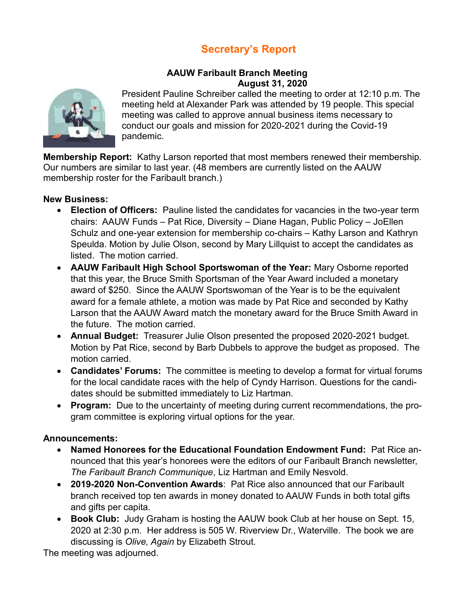# **Secretary's Report**

### **AAUW Faribault Branch Meeting August 31, 2020**



President Pauline Schreiber called the meeting to order at 12:10 p.m. The meeting held at Alexander Park was attended by 19 people. This special meeting was called to approve annual business items necessary to conduct our goals and mission for 2020-2021 during the Covid-19 pandemic.

**Membership Report:** Kathy Larson reported that most members renewed their membership. Our numbers are similar to last year. (48 members are currently listed on the AAUW membership roster for the Faribault branch.)

#### **New Business:**

- **Election of Officers:** Pauline listed the candidates for vacancies in the two-year term chairs: AAUW Funds – Pat Rice, Diversity – Diane Hagan, Public Policy – JoEllen Schulz and one-year extension for membership co-chairs – Kathy Larson and Kathryn Speulda. Motion by Julie Olson, second by Mary Lillquist to accept the candidates as listed. The motion carried.
- **AAUW Faribault High School Sportswoman of the Year:** Mary Osborne reported that this year, the Bruce Smith Sportsman of the Year Award included a monetary award of \$250. Since the AAUW Sportswoman of the Year is to be the equivalent award for a female athlete, a motion was made by Pat Rice and seconded by Kathy Larson that the AAUW Award match the monetary award for the Bruce Smith Award in the future. The motion carried.
- **Annual Budget:** Treasurer Julie Olson presented the proposed 2020-2021 budget. Motion by Pat Rice, second by Barb Dubbels to approve the budget as proposed. The motion carried.
- **Candidates' Forums:** The committee is meeting to develop a format for virtual forums for the local candidate races with the help of Cyndy Harrison. Questions for the candidates should be submitted immediately to Liz Hartman.
- **Program:** Due to the uncertainty of meeting during current recommendations, the program committee is exploring virtual options for the year.

#### **Announcements:**

- **Named Honorees for the Educational Foundation Endowment Fund:** Pat Rice announced that this year's honorees were the editors of our Faribault Branch newsletter, *The Faribault Branch Communique*, Liz Hartman and Emily Nesvold.
- **2019-2020 Non-Convention Awards**: Pat Rice also announced that our Faribault branch received top ten awards in money donated to AAUW Funds in both total gifts and gifts per capita.
- **Book Club:** Judy Graham is hosting the AAUW book Club at her house on Sept. 15, 2020 at 2:30 p.m. Her address is 505 W. Riverview Dr., Waterville. The book we are discussing is *Olive, Again* by Elizabeth Strout.

The meeting was adjourned.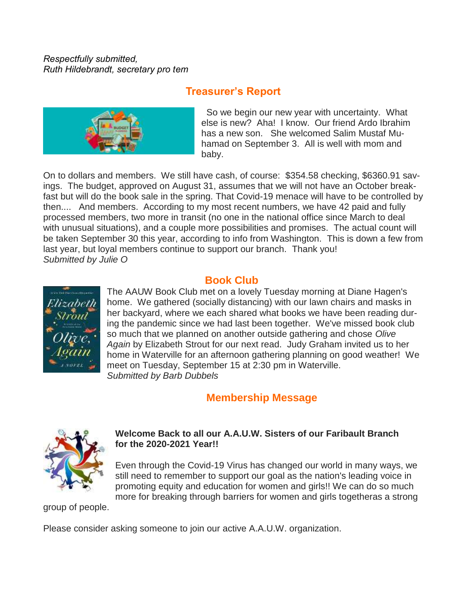*Respectfully submitted, Ruth Hildebrandt, secretary pro tem*

## **Treasurer's Report**



 So we begin our new year with uncertainty. What else is new? Aha! I know. Our friend Ardo Ibrahim has a new son. She welcomed Salim Mustaf Muhamad on September 3. All is well with mom and baby.

On to dollars and members. We still have cash, of course: \$354.58 checking, \$6360.91 savings. The budget, approved on August 31, assumes that we will not have an October breakfast but will do the book sale in the spring. That Covid-19 menace will have to be controlled by then.... And members. According to my most recent numbers, we have 42 paid and fully processed members, two more in transit (no one in the national office since March to deal with unusual situations), and a couple more possibilities and promises. The actual count will be taken September 30 this year, according to info from Washington. This is down a few from last year, but loyal members continue to support our branch. Thank you! *Submitted by Julie O*



## **Book Club**

The AAUW Book Club met on a lovely Tuesday morning at Diane Hagen's home. We gathered (socially distancing) with our lawn chairs and masks in her backyard, where we each shared what books we have been reading during the pandemic since we had last been together. We've missed book club so much that we planned on another outside gathering and chose *Olive Again* by Elizabeth Strout for our next read. Judy Graham invited us to her home in Waterville for an afternoon gathering planning on good weather! We meet on Tuesday, September 15 at 2:30 pm in Waterville. *Submitted by Barb Dubbels*

### **Membership Message**



#### **Welcome Back to all our A.A.U.W. Sisters of our Faribault Branch for the 2020-2021 Year!!**

Even through the Covid-19 Virus has changed our world in many ways, we still need to remember to support our goal as the nation's leading voice in promoting equity and education for women and girls!! We can do so much more for breaking through barriers for women and girls togetheras a strong

group of people.

Please consider asking someone to join our active A.A.U.W. organization.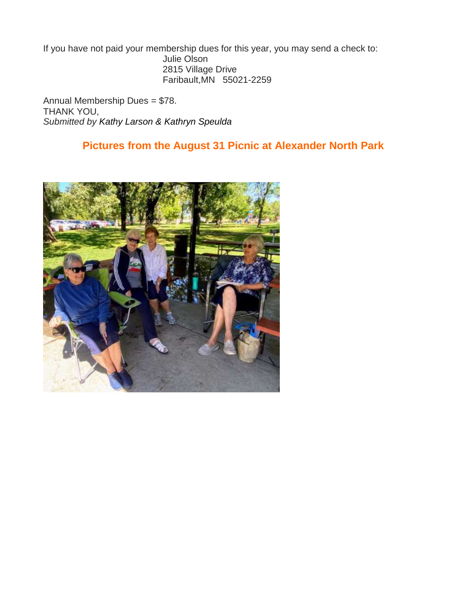If you have not paid your membership dues for this year, you may send a check to: Julie Olson 2815 Village Drive Faribault,MN 55021-2259

Annual Membership Dues = \$78. THANK YOU, *Submitted by Kathy Larson & Kathryn Speulda*

## **Pictures from the August 31 Picnic at Alexander North Park**

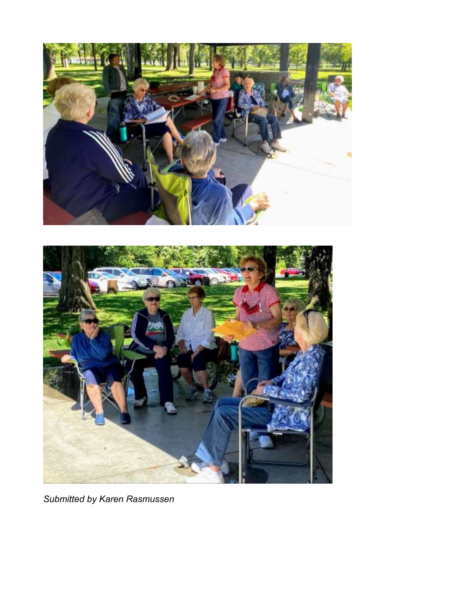



*Submitted by Karen Rasmussen*